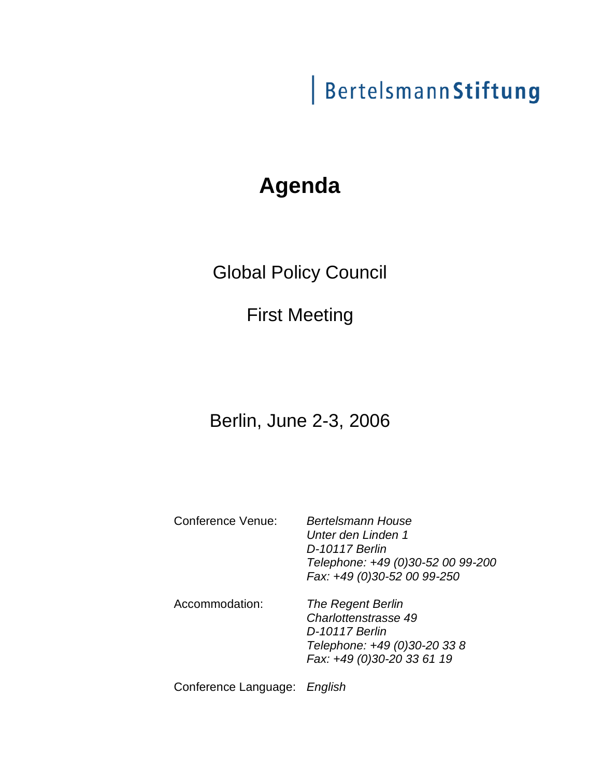# BertelsmannStiftung

## **Agenda**

Global Policy Council

First Meeting

## Berlin, June 2-3, 2006

Conference Venue: Bertelsmann House

Unter den Linden 1 D-10117 Berlin Telephone: +49 (0)30-52 00 99-200 Fax: +49 (0)30-52 00 99-250

Accommodation: The Regent Berlin Charlottenstrasse 49 D-10117 Berlin Telephone: +49 (0)30-20 33 8 Fax: +49 (0)30-20 33 61 19

Conference Language: English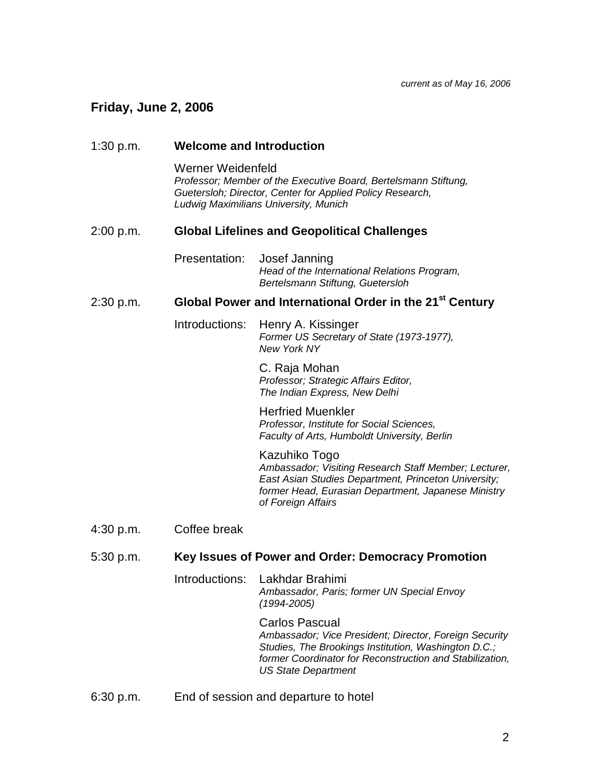current as of May 16, 2006

### **Friday, June 2, 2006**

| 1:30 p.m. | <b>Welcome and Introduction</b><br>Werner Weidenfeld<br>Professor; Member of the Executive Board, Bertelsmann Stiftung,<br>Guetersloh; Director, Center for Applied Policy Research,<br>Ludwig Maximilians University, Munich |                                                                                                                                                                                                                                   |  |
|-----------|-------------------------------------------------------------------------------------------------------------------------------------------------------------------------------------------------------------------------------|-----------------------------------------------------------------------------------------------------------------------------------------------------------------------------------------------------------------------------------|--|
|           |                                                                                                                                                                                                                               |                                                                                                                                                                                                                                   |  |
| 2:00 p.m. | <b>Global Lifelines and Geopolitical Challenges</b>                                                                                                                                                                           |                                                                                                                                                                                                                                   |  |
|           | Presentation:                                                                                                                                                                                                                 | Josef Janning<br>Head of the International Relations Program,<br>Bertelsmann Stiftung, Guetersloh                                                                                                                                 |  |
| 2:30 p.m. | Global Power and International Order in the 21 <sup>st</sup> Century                                                                                                                                                          |                                                                                                                                                                                                                                   |  |
|           | Introductions:                                                                                                                                                                                                                | Henry A. Kissinger<br>Former US Secretary of State (1973-1977),<br><b>New York NY</b>                                                                                                                                             |  |
|           |                                                                                                                                                                                                                               | C. Raja Mohan<br>Professor; Strategic Affairs Editor,<br>The Indian Express, New Delhi                                                                                                                                            |  |
|           |                                                                                                                                                                                                                               | <b>Herfried Muenkler</b><br>Professor, Institute for Social Sciences,<br>Faculty of Arts, Humboldt University, Berlin                                                                                                             |  |
|           |                                                                                                                                                                                                                               | Kazuhiko Togo<br>Ambassador; Visiting Research Staff Member; Lecturer,<br>East Asian Studies Department, Princeton University;<br>former Head, Eurasian Department, Japanese Ministry<br>of Foreign Affairs                       |  |
| 4:30 p.m. | Coffee break                                                                                                                                                                                                                  |                                                                                                                                                                                                                                   |  |
| 5:30 p.m. | Key Issues of Power and Order: Democracy Promotion                                                                                                                                                                            |                                                                                                                                                                                                                                   |  |
|           | Introductions:                                                                                                                                                                                                                | Lakhdar Brahimi<br>Ambassador, Paris; former UN Special Envoy<br>$(1994 - 2005)$                                                                                                                                                  |  |
|           |                                                                                                                                                                                                                               | <b>Carlos Pascual</b><br>Ambassador; Vice President; Director, Foreign Security<br>Studies, The Brookings Institution, Washington D.C.;<br>former Coordinator for Reconstruction and Stabilization,<br><b>US State Department</b> |  |
| 6:30 p.m. | End of session and departure to hotel                                                                                                                                                                                         |                                                                                                                                                                                                                                   |  |